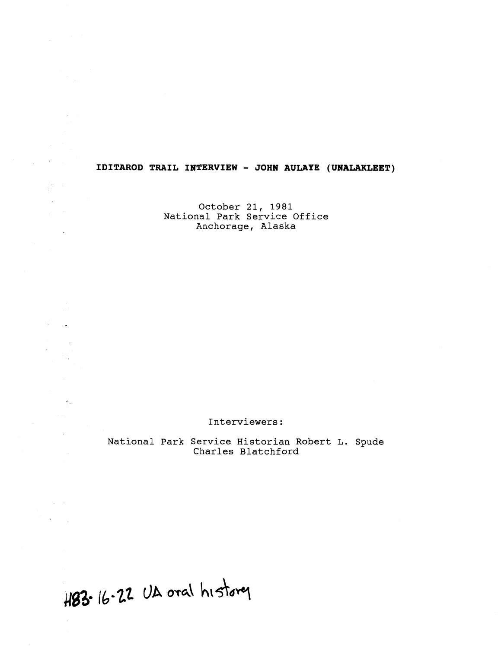# **IDITAROD TRAIL INTERVIEW** - **JOHN AULAYE (UNALAKLEET)**

October 21, 1981 National Park Service Office Anchorage, Alaska

Interviewers:

National Park Service Historian Robert L. Spude Charles Blatchford

H83. 16.22 UA oral history

 $\sim 4$ 

 $\mathcal{M} \rightarrow \mathcal{M}$  $\lambda$ 

 $\sim 10^7$ 

i Paris Car

 $\overline{a}$ 

 $\sim$ 

 $\mathcal{A}_{\mathrm{in}}$ 

 $\gamma = 1/2$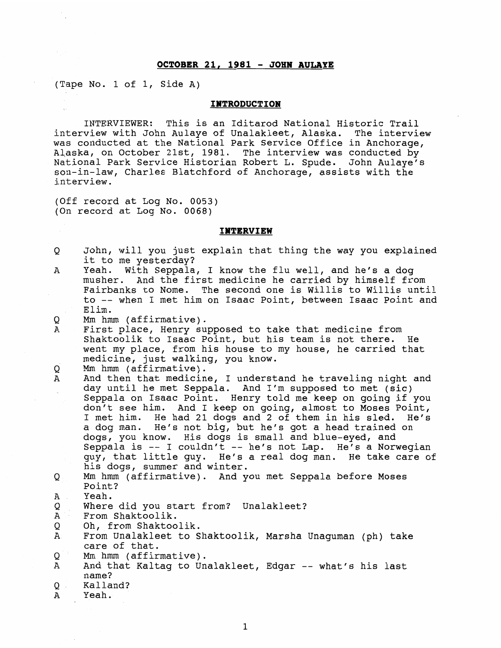# **OCTOBER 21, <sup>1981</sup>**- **JOHN AULAYE**

(Tape No. 1 of 1, Side A)

## **INTRODUCTION**

INTERVIEWER: This is an Iditarod National Historic Trail interview with John Aulaye of Unalakleet, Alaska. The interview was conducted at the National Park Service Office in Anchorage, Alaska, on October 21st, 1981. The interview was conducted by National Park Service Historian Robert L. Spude. John Aulaye's son-in-law, Charles Blatchford of Anchorage, assists with the interview.

(Off record at Log No. 0053) (On record at Log No. 0068)

#### **INTERVIEW**

- O John, will you just explain that thing the way you explained it to me yesterday?
- $\overline{A}$ Yeah. With Seppala, I know the flu well, and he's a dog musher. And the first medicine he carried by himself from Fairbanks to Nome. The second one is Willis to Willis until to -- when I met him on Isaac Point, between Isaac Point and Elim.
- Q Mm hmm (affirmative).
- First place, Henry supposed to take that medicine from A Shaktoolik to Isaac Point, but his team is not there. He went my place, from his house to my house, he carried that medicine, just walking, you know.
- Mm hmm (affirmative). Q
- And then that medicine, I understand he traveling night and A day until he met Seppala. And I'm supposed to met (sic) Seppala on Isaac Point. Henry told me keep on going if you don't see him. And I keep on going, almost to Moses Point, I met him. He had 21 dogs and 2 of them in his sled. He's a dog man. He's not big, but he's got a head trained on dogs, you know. His dogs is small and blue-eyed, and Seppala is  $-$  I couldn't  $-$  he's not Lap. He's a Norwegian guy, that little guy. He's a real dog man. He take care of his dogs, summer and winter.
- Mm hmm (affirmative). And you met Seppala before Moses Q Point?
- Α Yeah.
- Where did you start from? Unalakleet? Q
- From Shaktoolik. A
- Oh, from Shaktoolik.
- A From Unalakleet to Shaktoolik, Marsha Unaguman (ph) take care of that.
- Q Mrn hmm (affirmative).
- A And that Kaltag to Unalakleet, Edgar -- what's his last name ?
- **Q** Kalland?
- A Yeah.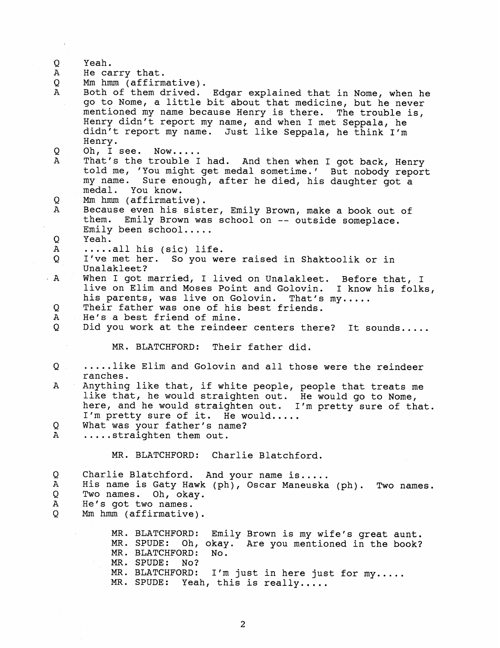| $\mathbf Q$ . | Yeah.                                                                                                                    |
|---------------|--------------------------------------------------------------------------------------------------------------------------|
| A             | He carry that.                                                                                                           |
| Q<br>Α        | Mm hmm (affirmative).                                                                                                    |
|               | Both of them drived. Edgar explained that in Nome, when he                                                               |
|               | go to Nome, a little bit about that medicine, but he never<br>mentioned my name because Henry is there. The trouble is,  |
|               | Henry didn't report my name, and when I met Seppala, he                                                                  |
|               | didn't report my name. Just like Seppala, he think I'm                                                                   |
|               | Henry.                                                                                                                   |
| Q.            | Oh, I see. Now                                                                                                           |
| Α             | That's the trouble I had. And then when I got back, Henry                                                                |
|               | told me, 'You might get medal sometime.' But nobody report                                                               |
|               | my name. Sure enough, after he died, his daughter got a                                                                  |
|               | medal. You know.                                                                                                         |
| Q             | Mm hmm (affirmative).                                                                                                    |
| Α             | Because even his sister, Emily Brown, make a book out of                                                                 |
|               | them. Emily Brown was school on -- outside someplace.                                                                    |
|               | Emily been $school$ .                                                                                                    |
| Q             | Yeah.                                                                                                                    |
| ${\tt A}$     | $\ldots$ all his (sic) life.                                                                                             |
| Q             | I've met her. So you were raised in Shaktoolik or in                                                                     |
|               | Unalakleet?                                                                                                              |
| A             | When I got married, I lived on Unalakleet. Before that, I<br>live on Elim and Moses Point and Golovin. I know his folks, |
|               | his parents, was live on Golovin. That's my                                                                              |
| ୁ             | Their father was one of his best friends.                                                                                |
| A             | He's a best friend of mine.                                                                                              |
| Q             | Did you work at the reindeer centers there? It sounds                                                                    |
|               |                                                                                                                          |
|               | MR. BLATCHFORD: Their father did.                                                                                        |
| $Q =$         | like Elim and Golovin and all those were the reindeer                                                                    |
|               | ranches.                                                                                                                 |
| A             | Anything like that, if white people, people that treats me                                                               |
|               | like that, he would straighten out. He would go to Nome,                                                                 |
|               | here, and he would straighten out. I'm pretty sure of that.                                                              |
|               | I'm pretty sure of it. He would                                                                                          |
| Q             | What was your father's name?                                                                                             |
| $\mathbf{A}$  | straighten them out.                                                                                                     |
|               |                                                                                                                          |
|               | Charlie Blatchford.<br>MR. BLATCHFORD:                                                                                   |
| Q             | Charlie Blatchford.<br>And your name is                                                                                  |
| Α             | His name is Gaty Hawk (ph), Oscar Maneuska (ph).<br>Two names.                                                           |
| Q             | Two names. Oh, okay.                                                                                                     |
| А             | He's got two names.                                                                                                      |
| Q.            | Mm hmm (affirmative).                                                                                                    |
|               |                                                                                                                          |
|               | MR. BLATCHFORD:<br>Emily Brown is my wife's great aunt.                                                                  |
|               | MR. SPUDE:<br>Oh, okay. Are you mentioned in the book?                                                                   |
|               | MR. BLATCHFORD:<br>No.                                                                                                   |
|               | MR. SPUDE:<br>No?<br>MR. BLATCHFORD:                                                                                     |
|               | I'm just in here just for my<br>MR. SPUDE:<br>Yeah, this is really                                                       |
|               |                                                                                                                          |

 $\hat{\mathcal{L}}$ 

 $\bar{\beta}$ 

 $\sim$   $\sim$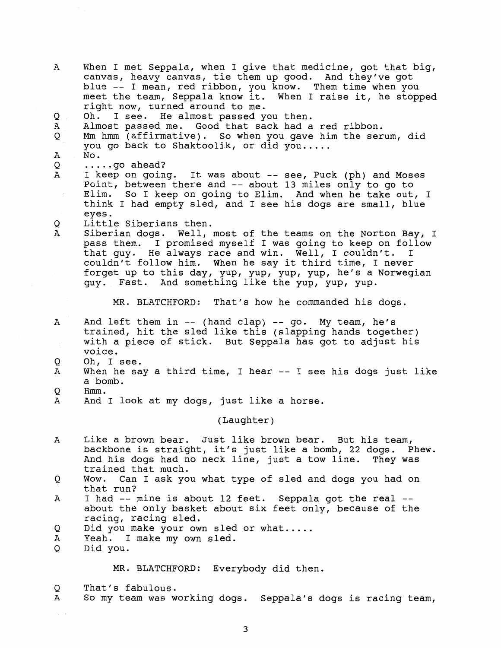$\mathbf{A}$ When I met Seppala, when I give that medicine, got that big, canvas, heavy canvas, tie them up good. And they've got blue -- I mean, red ribbon, you know. Them time when you meet the team, Seppala know it. When I raise it, he stopped right now, turned around to me. O Oh. I see. He almost passed you then. Almost passed me. Good that sack had a red ribbon.  $\mathbf A$ Mm hmm (affirmative). So when you gave him the serum, did Q you go back to Shaktoolik, or did you.....  $\mathbb A$ No.<br>.....go ahead? Q I keep on going. It was about -- see, Puck (ph) and Moses A Point, between there and -- about 13 miles only to go to Elim. So I keep on going to Elim. And when he take out, I think I had empty sled, and I see his dogs are small, blue eyes. Q Little Siberians then. A Siberian dogs. Well, most of the teams on the Norton Bay, I pass them. I promised myself I was going to keep on follow that quy. He always race and win. Well, I couldn't. couldn't follow him. When he say it third time, I never forget up to this day, yup, yup, yup, yup, he's a Norwegian guy. Fast. And something like the yup, yup, yup. MR. BLATCHFORD: That's how he commanded his dogs. And left them in -- (hand clap) -- go. My team, he's A trained, hit the sled like this (slapping hands together) with a piece of stick. But Seppala has got to adjust his voice. O Oh, I see. When he say a third time, I hear -- I see his dogs just like Α a bomb. Hmm.<br>And I look at my dogs, just like a horse. O A (Laughter ) Like a brown bear. Just like brown bear. But his team,  $\overline{A}$ backbone is straight, it's just like a bomb, 22 dogs. Phew. And his dogs had no neck line, just a tow line. They was trained that much. Wow. Can I ask you what type of sled and dogs you had on O that run?  $\mathbf{A}$ I had -- mine is about 12 feet. Seppala got the real - about the only basket about six feet only, because of the racing, racing sled. Q Did you make your own sled or what..... Yeah. I make my own sled. A Did you.  $\circ$ MR. BLATCHFORD: Everybody did then. Q That's fabulous. A So my team was working dogs. Seppala's dogs is racing team,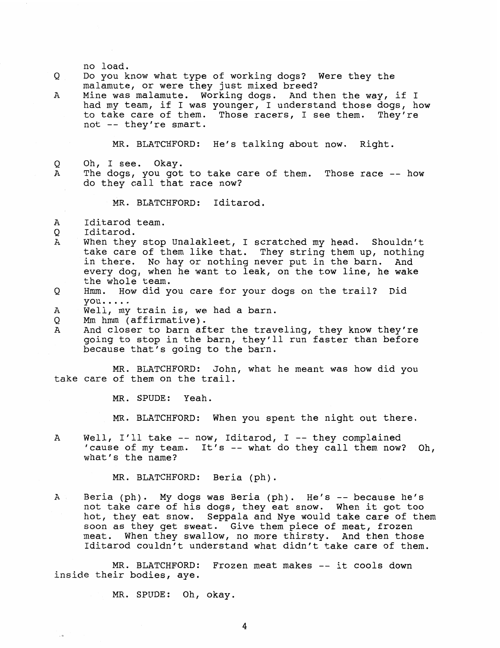### no load.

- *Q* Do you know what type of working dogs? Were they the malamute, or were they just mixed breed?
- A Mine was malamute. Working dogs. And then the way, if I had my team, if I was younger, I understand those dogs, how to take care of them. Those racers, I see them. They're not -- they're smart.

MR. BLATCHFORD: He's talking about now. Right.

- Q Oh, I see. Okay.
- A The dogs, you got to take care of them. Those race -- how do they call that race now?

MR. BLATCHFORD: Iditarod.

- A Iditarod team.
- *Q* Iditarod.
- A When they stop Unalakleet, I scratched my head. Shouldn't take care of them like that. They string them up, nothing in there. No hay or nothing never put in the barn. And every dog, when he want to leak, on the tow line, he wake the whole team.
- **Q** Hmm. How did you care for your dogs on the trail? Did you.....<br>A Well, my train is, we had a barn.
- 
- *Q* **Mm** hmm (affirmative).
- A And closer to barn after the traveling, they know they're going to stop in the barn, they'll run faster than before because that's going to the barn.

MR. BLATCHFORD: John, what he meant was how did you take care of them on the trail.

MR. SPUDE: Yeah.

MR. BLATCHFORD: When you spent the night out there.

A Well, I'll take -- now, Iditarod, I -- they complained 'cause of my team. It's -- what do they call them now? Oh, what's the name?

MR. BLATCHFORD: Beria (ph).

A Beria (ph). My dogs was Beria (ph). He's -- because he's not take care of his dogs, they eat snow. When it got too hot, they eat snow. Seppala and Nye would take care of them soon as they get sweat. Give them piece of meat, frozen meat. When they swallow, no more thirsty. And then those Iditarod couldn't understand what didn't take care of them.

MR. BLATCHFORD: Frozen meat makes -- it cools down inside their bodies, aye.

MR. SPUDE: Oh, okay.

4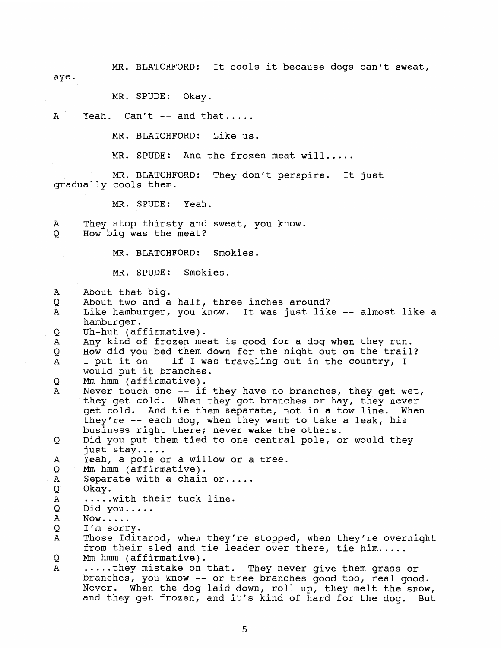MR. BLATCHFORD: It cools it because dogs can't sweat,

aye.

MR. SPUDE: Okay.

A Yeah. Can't -- and that.....

MR. BLATCHFORD: Like us.

MR. SPUDE: And the frozen meat will.....

MR. BLATCHFORD: They don't perspire. It just gradually cools them.

MR. SPUDE: Yeah.

A They stop thirsty and sweat, you know. Q How big was the meat?

MR. BLATCHFORD: Smokies.

MR. SPUDE: Smokies.

 $\mathbf{A}$ About that big.

About two and a half, three inches around? Q

Like hamburger, you know. It was just like -- almost like a  $\overline{A}$ hamburger.

Uh-huh (affirmative). Q

 $\overline{A}$ Any kind of frozen meat is good for a dog when they run. How did you bed them down for the night out on the trail?  $\circ$  $\mathbf{A}$ I put it on -- if I was traveling out in the country, I

would put it branches.

Q Mm hmm (affirmative).

Never touch one -- if they have no branches, they get wet, A they get cold. When they got branches or hay, they never get cold. And tie them separate, not in a tow line. When they're -- each dog, when they want to take a leak, his business right there; never wake the others.

Did you put them tied to one central pole, or would they Q just stay.....<br>Yeah, a pole or a willow or a tree.

Α

Mm hmm (affirmative). Q

 $\overline{A}$ Separate with a chain or.....

Q Okay.

Α ..... with their tuck line.

Did you..... Now.. . . . I'm sorry. Q

Α

Q

Α Those Iditarod, when they're stopped, when they're overnight from their sled and tie leader over there, tie him.....

Q

Mm hmm (affirmative).<br>.....they mistake on that. They never give them grass or  $\mathbf{A}$ branches, you know -- or tree branches good too, real good. Never. When the dog laid down, roll up, they melt the snow, and they get frozen, and it's kind of hard for the dog. But